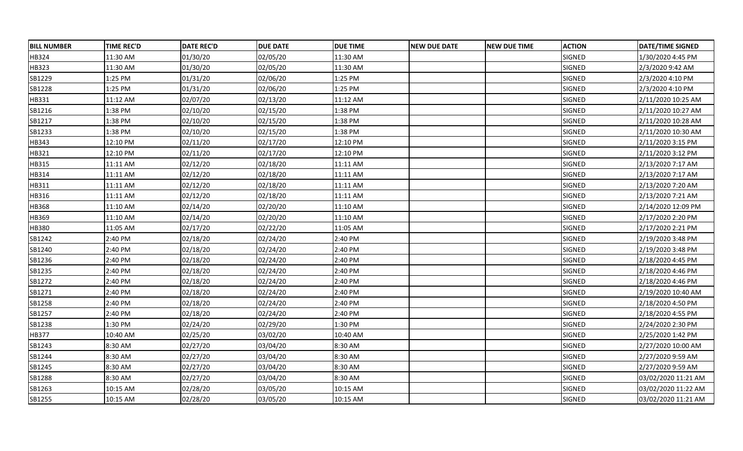| <b>BILL NUMBER</b> | <b>TIME REC'D</b> | <b>DATE REC'D</b> | <b>DUE DATE</b> | <b>DUE TIME</b> | <b>NEW DUE DATE</b> | <b>INEW DUE TIME</b> | <b>ACTION</b> | <b>DATE/TIME SIGNED</b> |
|--------------------|-------------------|-------------------|-----------------|-----------------|---------------------|----------------------|---------------|-------------------------|
| HB324              | 11:30 AM          | 01/30/20          | 02/05/20        | 11:30 AM        |                     |                      | SIGNED        | 1/30/2020 4:45 PM       |
| HB323              | 11:30 AM          | 01/30/20          | 02/05/20        | 11:30 AM        |                     |                      | SIGNED        | 2/3/2020 9:42 AM        |
| SB1229             | 1:25 PM           | 01/31/20          | 02/06/20        | 1:25 PM         |                     |                      | SIGNED        | 2/3/2020 4:10 PM        |
| SB1228             | 1:25 PM           | 01/31/20          | 02/06/20        | 1:25 PM         |                     |                      | SIGNED        | 2/3/2020 4:10 PM        |
| HB331              | 11:12 AM          | 02/07/20          | 02/13/20        | 11:12 AM        |                     |                      | SIGNED        | 2/11/2020 10:25 AM      |
| SB1216             | 1:38 PM           | 02/10/20          | 02/15/20        | 1:38 PM         |                     |                      | SIGNED        | 2/11/2020 10:27 AM      |
| SB1217             | 1:38 PM           | 02/10/20          | 02/15/20        | 1:38 PM         |                     |                      | SIGNED        | 2/11/2020 10:28 AM      |
| SB1233             | 1:38 PM           | 02/10/20          | 02/15/20        | 1:38 PM         |                     |                      | SIGNED        | 2/11/2020 10:30 AM      |
| HB343              | 12:10 PM          | 02/11/20          | 02/17/20        | 12:10 PM        |                     |                      | SIGNED        | 2/11/2020 3:15 PM       |
| HB321              | 12:10 PM          | 02/11/20          | 02/17/20        | 12:10 PM        |                     |                      | SIGNED        | 2/11/2020 3:12 PM       |
| HB315              | 11:11 AM          | 02/12/20          | 02/18/20        | 11:11 AM        |                     |                      | SIGNED        | 2/13/2020 7:17 AM       |
| HB314              | 11:11 AM          | 02/12/20          | 02/18/20        | 11:11 AM        |                     |                      | SIGNED        | 2/13/2020 7:17 AM       |
| HB311              | 11:11 AM          | 02/12/20          | 02/18/20        | 11:11 AM        |                     |                      | SIGNED        | 2/13/2020 7:20 AM       |
| HB316              | 11:11 AM          | 02/12/20          | 02/18/20        | 11:11 AM        |                     |                      | SIGNED        | 2/13/2020 7:21 AM       |
| HB368              | 11:10 AM          | 02/14/20          | 02/20/20        | 11:10 AM        |                     |                      | SIGNED        | 2/14/2020 12:09 PM      |
| HB369              | 11:10 AM          | 02/14/20          | 02/20/20        | 11:10 AM        |                     |                      | SIGNED        | 2/17/2020 2:20 PM       |
| HB380              | 11:05 AM          | 02/17/20          | 02/22/20        | 11:05 AM        |                     |                      | SIGNED        | 2/17/2020 2:21 PM       |
| SB1242             | 2:40 PM           | 02/18/20          | 02/24/20        | 2:40 PM         |                     |                      | SIGNED        | 2/19/2020 3:48 PM       |
| SB1240             | 2:40 PM           | 02/18/20          | 02/24/20        | 2:40 PM         |                     |                      | SIGNED        | 2/19/2020 3:48 PM       |
| SB1236             | 2:40 PM           | 02/18/20          | 02/24/20        | 2:40 PM         |                     |                      | SIGNED        | 2/18/2020 4:45 PM       |
| SB1235             | 2:40 PM           | 02/18/20          | 02/24/20        | 2:40 PM         |                     |                      | SIGNED        | 2/18/2020 4:46 PM       |
| SB1272             | 2:40 PM           | 02/18/20          | 02/24/20        | 2:40 PM         |                     |                      | SIGNED        | 2/18/2020 4:46 PM       |
| SB1271             | 2:40 PM           | 02/18/20          | 02/24/20        | 2:40 PM         |                     |                      | SIGNED        | 2/19/2020 10:40 AM      |
| SB1258             | 2:40 PM           | 02/18/20          | 02/24/20        | 2:40 PM         |                     |                      | SIGNED        | 2/18/2020 4:50 PM       |
| SB1257             | 2:40 PM           | 02/18/20          | 02/24/20        | 2:40 PM         |                     |                      | SIGNED        | 2/18/2020 4:55 PM       |
| SB1238             | 1:30 PM           | 02/24/20          | 02/29/20        | 1:30 PM         |                     |                      | SIGNED        | 2/24/2020 2:30 PM       |
| HB377              | 10:40 AM          | 02/25/20          | 03/02/20        | 10:40 AM        |                     |                      | SIGNED        | 2/25/2020 1:42 PM       |
| SB1243             | 8:30 AM           | 02/27/20          | 03/04/20        | 8:30 AM         |                     |                      | SIGNED        | 2/27/2020 10:00 AM      |
| SB1244             | 8:30 AM           | 02/27/20          | 03/04/20        | 8:30 AM         |                     |                      | SIGNED        | 2/27/2020 9:59 AM       |
| SB1245             | 8:30 AM           | 02/27/20          | 03/04/20        | 8:30 AM         |                     |                      | SIGNED        | 2/27/2020 9:59 AM       |
| SB1288             | 8:30 AM           | 02/27/20          | 03/04/20        | 8:30 AM         |                     |                      | SIGNED        | 03/02/2020 11:21 AM     |
| SB1263             | 10:15 AM          | 02/28/20          | 03/05/20        | 10:15 AM        |                     |                      | SIGNED        | 03/02/2020 11:22 AM     |
| SB1255             | 10:15 AM          | 02/28/20          | 03/05/20        | 10:15 AM        |                     |                      | SIGNED        | 03/02/2020 11:21 AM     |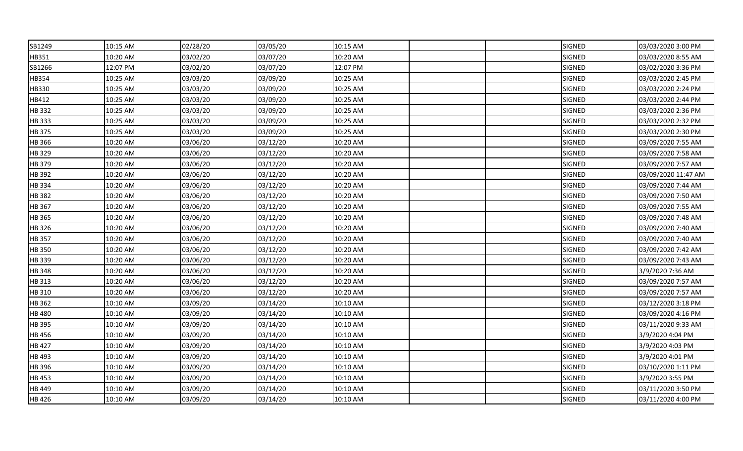| SB1249        | 10:15 AM | 02/28/20 | 03/05/20 | 10:15 AM |  | <b>SIGNED</b> | 03/03/2020 3:00 PM  |
|---------------|----------|----------|----------|----------|--|---------------|---------------------|
| HB351         | 10:20 AM | 03/02/20 | 03/07/20 | 10:20 AM |  | SIGNED        | 03/03/2020 8:55 AM  |
| SB1266        | 12:07 PM | 03/02/20 | 03/07/20 | 12:07 PM |  | SIGNED        | 03/02/2020 3:36 PM  |
| HB354         | 10:25 AM | 03/03/20 | 03/09/20 | 10:25 AM |  | SIGNED        | 03/03/2020 2:45 PM  |
| HB330         | 10:25 AM | 03/03/20 | 03/09/20 | 10:25 AM |  | SIGNED        | 03/03/2020 2:24 PM  |
| HB412         | 10:25 AM | 03/03/20 | 03/09/20 | 10:25 AM |  | SIGNED        | 03/03/2020 2:44 PM  |
| <b>HB332</b>  | 10:25 AM | 03/03/20 | 03/09/20 | 10:25 AM |  | <b>SIGNED</b> | 03/03/2020 2:36 PM  |
| HB 333        | 10:25 AM | 03/03/20 | 03/09/20 | 10:25 AM |  | <b>SIGNED</b> | 03/03/2020 2:32 PM  |
| HB 375        | 10:25 AM | 03/03/20 | 03/09/20 | 10:25 AM |  | <b>SIGNED</b> | 03/03/2020 2:30 PM  |
| HB 366        | 10:20 AM | 03/06/20 | 03/12/20 | 10:20 AM |  | SIGNED        | 03/09/2020 7:55 AM  |
| HB 329        | 10:20 AM | 03/06/20 | 03/12/20 | 10:20 AM |  | SIGNED        | 03/09/2020 7:58 AM  |
| HB 379        | 10:20 AM | 03/06/20 | 03/12/20 | 10:20 AM |  | <b>SIGNED</b> | 03/09/2020 7:57 AM  |
| HB 392        | 10:20 AM | 03/06/20 | 03/12/20 | 10:20 AM |  | SIGNED        | 03/09/2020 11:47 AM |
| HB 334        | 10:20 AM | 03/06/20 | 03/12/20 | 10:20 AM |  | <b>SIGNED</b> | 03/09/2020 7:44 AM  |
| HB 382        | 10:20 AM | 03/06/20 | 03/12/20 | 10:20 AM |  | SIGNED        | 03/09/2020 7:50 AM  |
| HB 367        | 10:20 AM | 03/06/20 | 03/12/20 | 10:20 AM |  | SIGNED        | 03/09/2020 7:55 AM  |
| HB 365        | 10:20 AM | 03/06/20 | 03/12/20 | 10:20 AM |  | <b>SIGNED</b> | 03/09/2020 7:48 AM  |
| HB 326        | 10:20 AM | 03/06/20 | 03/12/20 | 10:20 AM |  | <b>SIGNED</b> | 03/09/2020 7:40 AM  |
| HB 357        | 10:20 AM | 03/06/20 | 03/12/20 | 10:20 AM |  | <b>SIGNED</b> | 03/09/2020 7:40 AM  |
| HB 350        | 10:20 AM | 03/06/20 | 03/12/20 | 10:20 AM |  | SIGNED        | 03/09/2020 7:42 AM  |
| HB 339        | 10:20 AM | 03/06/20 | 03/12/20 | 10:20 AM |  | SIGNED        | 03/09/2020 7:43 AM  |
| HB 348        | 10:20 AM | 03/06/20 | 03/12/20 | 10:20 AM |  | SIGNED        | 3/9/2020 7:36 AM    |
| HB 313        | 10:20 AM | 03/06/20 | 03/12/20 | 10:20 AM |  | SIGNED        | 03/09/2020 7:57 AM  |
| HB 310        | 10:20 AM | 03/06/20 | 03/12/20 | 10:20 AM |  | SIGNED        | 03/09/2020 7:57 AM  |
| HB 362        | 10:10 AM | 03/09/20 | 03/14/20 | 10:10 AM |  | SIGNED        | 03/12/2020 3:18 PM  |
| HB 480        | 10:10 AM | 03/09/20 | 03/14/20 | 10:10 AM |  | SIGNED        | 03/09/2020 4:16 PM  |
| HB 395        | 10:10 AM | 03/09/20 | 03/14/20 | 10:10 AM |  | SIGNED        | 03/11/2020 9:33 AM  |
| <b>HB 456</b> | 10:10 AM | 03/09/20 | 03/14/20 | 10:10 AM |  | SIGNED        | 3/9/2020 4:04 PM    |
| HB 427        | 10:10 AM | 03/09/20 | 03/14/20 | 10:10 AM |  | SIGNED        | 3/9/2020 4:03 PM    |
| HB 493        | 10:10 AM | 03/09/20 | 03/14/20 | 10:10 AM |  | SIGNED        | 3/9/2020 4:01 PM    |
| HB 396        | 10:10 AM | 03/09/20 | 03/14/20 | 10:10 AM |  | SIGNED        | 03/10/2020 1:11 PM  |
| HB 453        | 10:10 AM | 03/09/20 | 03/14/20 | 10:10 AM |  | SIGNED        | 3/9/2020 3:55 PM    |
| HB 449        | 10:10 AM | 03/09/20 | 03/14/20 | 10:10 AM |  | SIGNED        | 03/11/2020 3:50 PM  |
| HB 426        | 10:10 AM | 03/09/20 | 03/14/20 | 10:10 AM |  | <b>SIGNED</b> | 03/11/2020 4:00 PM  |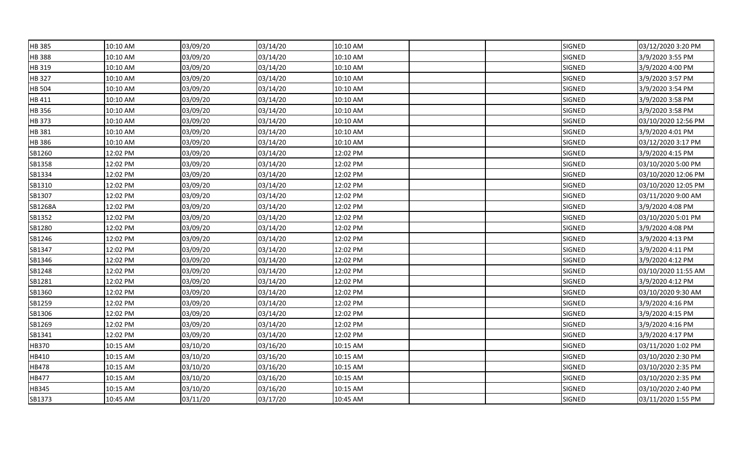| HB 385        | 10:10 AM | 03/09/20 | 03/14/20 | 10:10 AM |  | <b>SIGNED</b> | 03/12/2020 3:20 PM  |
|---------------|----------|----------|----------|----------|--|---------------|---------------------|
| HB 388        | 10:10 AM | 03/09/20 | 03/14/20 | 10:10 AM |  | SIGNED        | 3/9/2020 3:55 PM    |
| HB 319        | 10:10 AM | 03/09/20 | 03/14/20 | 10:10 AM |  | SIGNED        | 3/9/2020 4:00 PM    |
| HB 327        | 10:10 AM | 03/09/20 | 03/14/20 | 10:10 AM |  | SIGNED        | 3/9/2020 3:57 PM    |
| <b>HB 504</b> | 10:10 AM | 03/09/20 | 03/14/20 | 10:10 AM |  | SIGNED        | 3/9/2020 3:54 PM    |
| HB 411        | 10:10 AM | 03/09/20 | 03/14/20 | 10:10 AM |  | SIGNED        | 3/9/2020 3:58 PM    |
| HB 356        | 10:10 AM | 03/09/20 | 03/14/20 | 10:10 AM |  | <b>SIGNED</b> | 3/9/2020 3:58 PM    |
| <b>HB373</b>  | 10:10 AM | 03/09/20 | 03/14/20 | 10:10 AM |  | SIGNED        | 03/10/2020 12:56 PM |
| HB 381        | 10:10 AM | 03/09/20 | 03/14/20 | 10:10 AM |  | SIGNED        | 3/9/2020 4:01 PM    |
| HB 386        | 10:10 AM | 03/09/20 | 03/14/20 | 10:10 AM |  | SIGNED        | 03/12/2020 3:17 PM  |
| SB1260        | 12:02 PM | 03/09/20 | 03/14/20 | 12:02 PM |  | SIGNED        | 3/9/2020 4:15 PM    |
| SB1358        | 12:02 PM | 03/09/20 | 03/14/20 | 12:02 PM |  | SIGNED        | 03/10/2020 5:00 PM  |
| SB1334        | 12:02 PM | 03/09/20 | 03/14/20 | 12:02 PM |  | SIGNED        | 03/10/2020 12:06 PM |
| SB1310        | 12:02 PM | 03/09/20 | 03/14/20 | 12:02 PM |  | SIGNED        | 03/10/2020 12:05 PM |
| SB1307        | 12:02 PM | 03/09/20 | 03/14/20 | 12:02 PM |  | SIGNED        | 03/11/2020 9:00 AM  |
| SB1268A       | 12:02 PM | 03/09/20 | 03/14/20 | 12:02 PM |  | SIGNED        | 3/9/2020 4:08 PM    |
| SB1352        | 12:02 PM | 03/09/20 | 03/14/20 | 12:02 PM |  | SIGNED        | 03/10/2020 5:01 PM  |
| SB1280        | 12:02 PM | 03/09/20 | 03/14/20 | 12:02 PM |  | SIGNED        | 3/9/2020 4:08 PM    |
| SB1246        | 12:02 PM | 03/09/20 | 03/14/20 | 12:02 PM |  | SIGNED        | 3/9/2020 4:13 PM    |
| SB1347        | 12:02 PM | 03/09/20 | 03/14/20 | 12:02 PM |  | SIGNED        | 3/9/2020 4:11 PM    |
| SB1346        | 12:02 PM | 03/09/20 | 03/14/20 | 12:02 PM |  | SIGNED        | 3/9/2020 4:12 PM    |
| SB1248        | 12:02 PM | 03/09/20 | 03/14/20 | 12:02 PM |  | SIGNED        | 03/10/2020 11:55 AM |
| SB1281        | 12:02 PM | 03/09/20 | 03/14/20 | 12:02 PM |  | SIGNED        | 3/9/2020 4:12 PM    |
| SB1360        | 12:02 PM | 03/09/20 | 03/14/20 | 12:02 PM |  | SIGNED        | 03/10/2020 9:30 AM  |
| SB1259        | 12:02 PM | 03/09/20 | 03/14/20 | 12:02 PM |  | SIGNED        | 3/9/2020 4:16 PM    |
| SB1306        | 12:02 PM | 03/09/20 | 03/14/20 | 12:02 PM |  | SIGNED        | 3/9/2020 4:15 PM    |
| SB1269        | 12:02 PM | 03/09/20 | 03/14/20 | 12:02 PM |  | SIGNED        | 3/9/2020 4:16 PM    |
| SB1341        | 12:02 PM | 03/09/20 | 03/14/20 | 12:02 PM |  | SIGNED        | 3/9/2020 4:17 PM    |
| HB370         | 10:15 AM | 03/10/20 | 03/16/20 | 10:15 AM |  | SIGNED        | 03/11/2020 1:02 PM  |
| HB410         | 10:15 AM | 03/10/20 | 03/16/20 | 10:15 AM |  | SIGNED        | 03/10/2020 2:30 PM  |
| HB478         | 10:15 AM | 03/10/20 | 03/16/20 | 10:15 AM |  | SIGNED        | 03/10/2020 2:35 PM  |
| HB477         | 10:15 AM | 03/10/20 | 03/16/20 | 10:15 AM |  | SIGNED        | 03/10/2020 2:35 PM  |
| HB345         | 10:15 AM | 03/10/20 | 03/16/20 | 10:15 AM |  | SIGNED        | 03/10/2020 2:40 PM  |
| SB1373        | 10:45 AM | 03/11/20 | 03/17/20 | 10:45 AM |  | SIGNED        | 03/11/2020 1:55 PM  |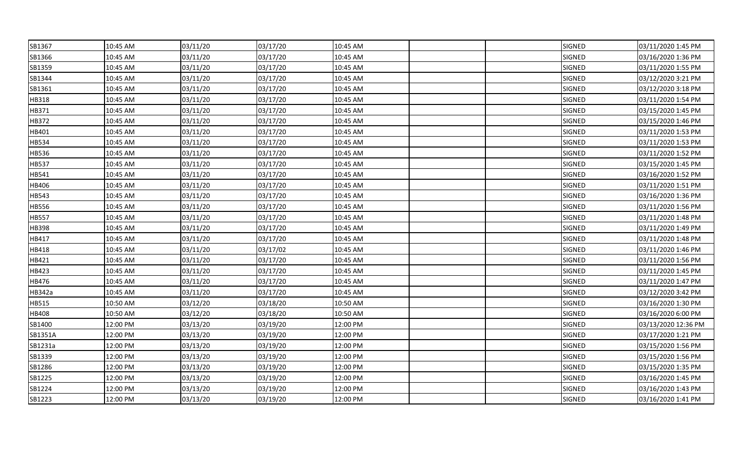| SB1367  | 10:45 AM | 03/11/20 | 03/17/20 | 10:45 AM |  | SIGNED        | 03/11/2020 1:45 PM  |
|---------|----------|----------|----------|----------|--|---------------|---------------------|
| SB1366  | 10:45 AM | 03/11/20 | 03/17/20 | 10:45 AM |  | <b>SIGNED</b> | 03/16/2020 1:36 PM  |
| SB1359  | 10:45 AM | 03/11/20 | 03/17/20 | 10:45 AM |  | SIGNED        | 03/11/2020 1:55 PM  |
| SB1344  | 10:45 AM | 03/11/20 | 03/17/20 | 10:45 AM |  | SIGNED        | 03/12/2020 3:21 PM  |
| SB1361  | 10:45 AM | 03/11/20 | 03/17/20 | 10:45 AM |  | SIGNED        | 03/12/2020 3:18 PM  |
| HB318   | 10:45 AM | 03/11/20 | 03/17/20 | 10:45 AM |  | SIGNED        | 03/11/2020 1:54 PM  |
| HB371   | 10:45 AM | 03/11/20 | 03/17/20 | 10:45 AM |  | <b>SIGNED</b> | 03/15/2020 1:45 PM  |
| HB372   | 10:45 AM | 03/11/20 | 03/17/20 | 10:45 AM |  | <b>SIGNED</b> | 03/15/2020 1:46 PM  |
| HB401   | 10:45 AM | 03/11/20 | 03/17/20 | 10:45 AM |  | <b>SIGNED</b> | 03/11/2020 1:53 PM  |
| HB534   | 10:45 AM | 03/11/20 | 03/17/20 | 10:45 AM |  | SIGNED        | 03/11/2020 1:53 PM  |
| HB536   | 10:45 AM | 03/11/20 | 03/17/20 | 10:45 AM |  | SIGNED        | 03/11/2020 1:52 PM  |
| HB537   | 10:45 AM | 03/11/20 | 03/17/20 | 10:45 AM |  | <b>SIGNED</b> | 03/15/2020 1:45 PM  |
| HB541   | 10:45 AM | 03/11/20 | 03/17/20 | 10:45 AM |  | <b>SIGNED</b> | 03/16/2020 1:52 PM  |
| HB406   | 10:45 AM | 03/11/20 | 03/17/20 | 10:45 AM |  | SIGNED        | 03/11/2020 1:51 PM  |
| HB543   | 10:45 AM | 03/11/20 | 03/17/20 | 10:45 AM |  | SIGNED        | 03/16/2020 1:36 PM  |
| HB556   | 10:45 AM | 03/11/20 | 03/17/20 | 10:45 AM |  | SIGNED        | 03/11/2020 1:56 PM  |
| HB557   | 10:45 AM | 03/11/20 | 03/17/20 | 10:45 AM |  | SIGNED        | 03/11/2020 1:48 PM  |
| HB398   | 10:45 AM | 03/11/20 | 03/17/20 | 10:45 AM |  | <b>SIGNED</b> | 03/11/2020 1:49 PM  |
| HB417   | 10:45 AM | 03/11/20 | 03/17/20 | 10:45 AM |  | SIGNED        | 03/11/2020 1:48 PM  |
| HB418   | 10:45 AM | 03/11/20 | 03/17/02 | 10:45 AM |  | SIGNED        | 03/11/2020 1:46 PM  |
| HB421   | 10:45 AM | 03/11/20 | 03/17/20 | 10:45 AM |  | SIGNED        | 03/11/2020 1:56 PM  |
| HB423   | 10:45 AM | 03/11/20 | 03/17/20 | 10:45 AM |  | SIGNED        | 03/11/2020 1:45 PM  |
| HB476   | 10:45 AM | 03/11/20 | 03/17/20 | 10:45 AM |  | <b>SIGNED</b> | 03/11/2020 1:47 PM  |
| HB342a  | 10:45 AM | 03/11/20 | 03/17/20 | 10:45 AM |  | SIGNED        | 03/12/2020 3:42 PM  |
| HB515   | 10:50 AM | 03/12/20 | 03/18/20 | 10:50 AM |  | SIGNED        | 03/16/2020 1:30 PM  |
| HB408   | 10:50 AM | 03/12/20 | 03/18/20 | 10:50 AM |  | SIGNED        | 03/16/2020 6:00 PM  |
| SB1400  | 12:00 PM | 03/13/20 | 03/19/20 | 12:00 PM |  | <b>SIGNED</b> | 03/13/2020 12:36 PM |
| SB1351A | 12:00 PM | 03/13/20 | 03/19/20 | 12:00 PM |  | <b>SIGNED</b> | 03/17/2020 1:21 PM  |
| SB1231a | 12:00 PM | 03/13/20 | 03/19/20 | 12:00 PM |  | SIGNED        | 03/15/2020 1:56 PM  |
| SB1339  | 12:00 PM | 03/13/20 | 03/19/20 | 12:00 PM |  | SIGNED        | 03/15/2020 1:56 PM  |
| SB1286  | 12:00 PM | 03/13/20 | 03/19/20 | 12:00 PM |  | SIGNED        | 03/15/2020 1:35 PM  |
| SB1225  | 12:00 PM | 03/13/20 | 03/19/20 | 12:00 PM |  | <b>SIGNED</b> | 03/16/2020 1:45 PM  |
| SB1224  | 12:00 PM | 03/13/20 | 03/19/20 | 12:00 PM |  | SIGNED        | 03/16/2020 1:43 PM  |
| SB1223  | 12:00 PM | 03/13/20 | 03/19/20 | 12:00 PM |  | SIGNED        | 03/16/2020 1:41 PM  |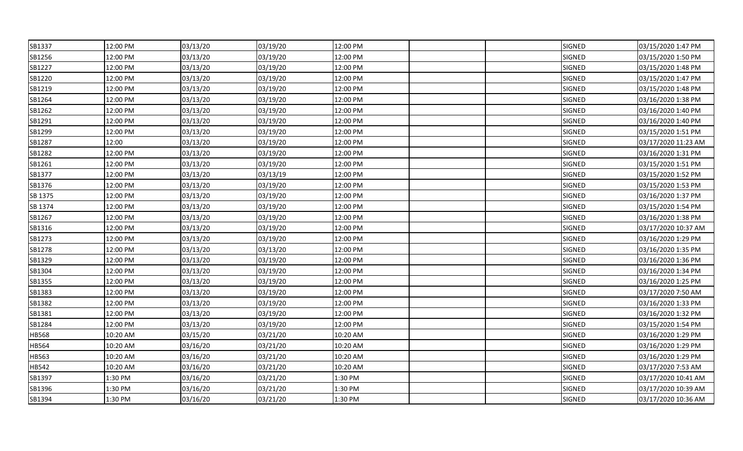| SB1337  | 12:00 PM | 03/13/20 | 03/19/20 | 12:00 PM |  | <b>SIGNED</b> | 03/15/2020 1:47 PM  |
|---------|----------|----------|----------|----------|--|---------------|---------------------|
| SB1256  | 12:00 PM | 03/13/20 | 03/19/20 | 12:00 PM |  | SIGNED        | 03/15/2020 1:50 PM  |
| SB1227  | 12:00 PM | 03/13/20 | 03/19/20 | 12:00 PM |  | <b>SIGNED</b> | 03/15/2020 1:48 PM  |
| SB1220  | 12:00 PM | 03/13/20 | 03/19/20 | 12:00 PM |  | SIGNED        | 03/15/2020 1:47 PM  |
| SB1219  | 12:00 PM | 03/13/20 | 03/19/20 | 12:00 PM |  | SIGNED        | 03/15/2020 1:48 PM  |
| SB1264  | 12:00 PM | 03/13/20 | 03/19/20 | 12:00 PM |  | SIGNED        | 03/16/2020 1:38 PM  |
| SB1262  | 12:00 PM | 03/13/20 | 03/19/20 | 12:00 PM |  | <b>SIGNED</b> | 03/16/2020 1:40 PM  |
| SB1291  | 12:00 PM | 03/13/20 | 03/19/20 | 12:00 PM |  | <b>SIGNED</b> | 03/16/2020 1:40 PM  |
| SB1299  | 12:00 PM | 03/13/20 | 03/19/20 | 12:00 PM |  | SIGNED        | 03/15/2020 1:51 PM  |
| SB1287  | 12:00    | 03/13/20 | 03/19/20 | 12:00 PM |  | SIGNED        | 03/17/2020 11:23 AM |
| SB1282  | 12:00 PM | 03/13/20 | 03/19/20 | 12:00 PM |  | SIGNED        | 03/16/2020 1:31 PM  |
| SB1261  | 12:00 PM | 03/13/20 | 03/19/20 | 12:00 PM |  | <b>SIGNED</b> | 03/15/2020 1:51 PM  |
| SB1377  | 12:00 PM | 03/13/20 | 03/13/19 | 12:00 PM |  | SIGNED        | 03/15/2020 1:52 PM  |
| SB1376  | 12:00 PM | 03/13/20 | 03/19/20 | 12:00 PM |  | SIGNED        | 03/15/2020 1:53 PM  |
| SB 1375 | 12:00 PM | 03/13/20 | 03/19/20 | 12:00 PM |  | SIGNED        | 03/16/2020 1:37 PM  |
| SB 1374 | 12:00 PM | 03/13/20 | 03/19/20 | 12:00 PM |  | SIGNED        | 03/15/2020 1:54 PM  |
| SB1267  | 12:00 PM | 03/13/20 | 03/19/20 | 12:00 PM |  | SIGNED        | 03/16/2020 1:38 PM  |
| SB1316  | 12:00 PM | 03/13/20 | 03/19/20 | 12:00 PM |  | <b>SIGNED</b> | 03/17/2020 10:37 AM |
| SB1273  | 12:00 PM | 03/13/20 | 03/19/20 | 12:00 PM |  | <b>SIGNED</b> | 03/16/2020 1:29 PM  |
| SB1278  | 12:00 PM | 03/13/20 | 03/13/20 | 12:00 PM |  | SIGNED        | 03/16/2020 1:35 PM  |
| SB1329  | 12:00 PM | 03/13/20 | 03/19/20 | 12:00 PM |  | SIGNED        | 03/16/2020 1:36 PM  |
| SB1304  | 12:00 PM | 03/13/20 | 03/19/20 | 12:00 PM |  | <b>SIGNED</b> | 03/16/2020 1:34 PM  |
| SB1355  | 12:00 PM | 03/13/20 | 03/19/20 | 12:00 PM |  | SIGNED        | 03/16/2020 1:25 PM  |
| SB1383  | 12:00 PM | 03/13/20 | 03/19/20 | 12:00 PM |  | <b>SIGNED</b> | 03/17/2020 7:50 AM  |
| SB1382  | 12:00 PM | 03/13/20 | 03/19/20 | 12:00 PM |  | SIGNED        | 03/16/2020 1:33 PM  |
| SB1381  | 12:00 PM | 03/13/20 | 03/19/20 | 12:00 PM |  | SIGNED        | 03/16/2020 1:32 PM  |
| SB1284  | 12:00 PM | 03/13/20 | 03/19/20 | 12:00 PM |  | SIGNED        | 03/15/2020 1:54 PM  |
| HB568   | 10:20 AM | 03/15/20 | 03/21/20 | 10:20 AM |  | SIGNED        | 03/16/2020 1:29 PM  |
| HB564   | 10:20 AM | 03/16/20 | 03/21/20 | 10:20 AM |  | SIGNED        | 03/16/2020 1:29 PM  |
| HB563   | 10:20 AM | 03/16/20 | 03/21/20 | 10:20 AM |  | SIGNED        | 03/16/2020 1:29 PM  |
| HB542   | 10:20 AM | 03/16/20 | 03/21/20 | 10:20 AM |  | SIGNED        | 03/17/2020 7:53 AM  |
| SB1397  | 1:30 PM  | 03/16/20 | 03/21/20 | 1:30 PM  |  | SIGNED        | 03/17/2020 10:41 AM |
| SB1396  | 1:30 PM  | 03/16/20 | 03/21/20 | 1:30 PM  |  | SIGNED        | 03/17/2020 10:39 AM |
| SB1394  | 1:30 PM  | 03/16/20 | 03/21/20 | 1:30 PM  |  | SIGNED        | 03/17/2020 10:36 AM |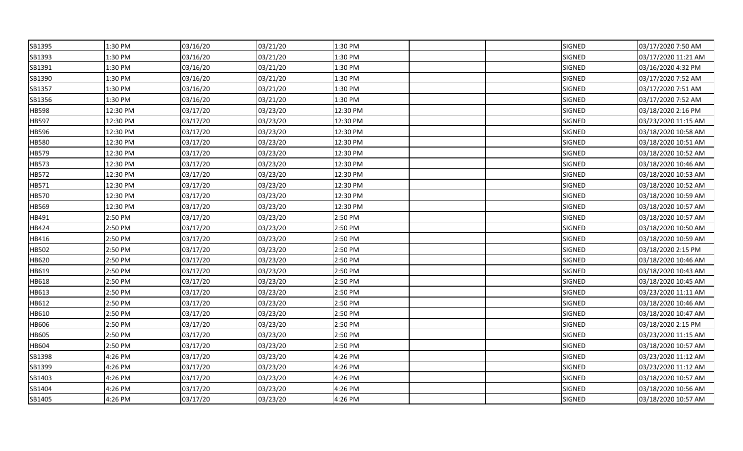| SB1395 | 1:30 PM  | 03/16/20 | 03/21/20 | 1:30 PM  |  | <b>SIGNED</b> | 03/17/2020 7:50 AM  |
|--------|----------|----------|----------|----------|--|---------------|---------------------|
| SB1393 | 1:30 PM  | 03/16/20 | 03/21/20 | 1:30 PM  |  | SIGNED        | 03/17/2020 11:21 AM |
| SB1391 | 1:30 PM  | 03/16/20 | 03/21/20 | 1:30 PM  |  | <b>SIGNED</b> | 03/16/2020 4:32 PM  |
| SB1390 | 1:30 PM  | 03/16/20 | 03/21/20 | 1:30 PM  |  | SIGNED        | 03/17/2020 7:52 AM  |
| SB1357 | 1:30 PM  | 03/16/20 | 03/21/20 | 1:30 PM  |  | SIGNED        | 03/17/2020 7:51 AM  |
| SB1356 | 1:30 PM  | 03/16/20 | 03/21/20 | 1:30 PM  |  | SIGNED        | 03/17/2020 7:52 AM  |
| HB598  | 12:30 PM | 03/17/20 | 03/23/20 | 12:30 PM |  | <b>SIGNED</b> | 03/18/2020 2:16 PM  |
| HB597  | 12:30 PM | 03/17/20 | 03/23/20 | 12:30 PM |  | <b>SIGNED</b> | 03/23/2020 11:15 AM |
| HB596  | 12:30 PM | 03/17/20 | 03/23/20 | 12:30 PM |  | SIGNED        | 03/18/2020 10:58 AM |
| HB580  | 12:30 PM | 03/17/20 | 03/23/20 | 12:30 PM |  | SIGNED        | 03/18/2020 10:51 AM |
| HB579  | 12:30 PM | 03/17/20 | 03/23/20 | 12:30 PM |  | SIGNED        | 03/18/2020 10:52 AM |
| HB573  | 12:30 PM | 03/17/20 | 03/23/20 | 12:30 PM |  | <b>SIGNED</b> | 03/18/2020 10:46 AM |
| HB572  | 12:30 PM | 03/17/20 | 03/23/20 | 12:30 PM |  | SIGNED        | 03/18/2020 10:53 AM |
| HB571  | 12:30 PM | 03/17/20 | 03/23/20 | 12:30 PM |  | SIGNED        | 03/18/2020 10:52 AM |
| HB570  | 12:30 PM | 03/17/20 | 03/23/20 | 12:30 PM |  | SIGNED        | 03/18/2020 10:59 AM |
| HB569  | 12:30 PM | 03/17/20 | 03/23/20 | 12:30 PM |  | SIGNED        | 03/18/2020 10:57 AM |
| HB491  | 2:50 PM  | 03/17/20 | 03/23/20 | 2:50 PM  |  | SIGNED        | 03/18/2020 10:57 AM |
| HB424  | 2:50 PM  | 03/17/20 | 03/23/20 | 2:50 PM  |  | SIGNED        | 03/18/2020 10:50 AM |
| HB416  | 2:50 PM  | 03/17/20 | 03/23/20 | 2:50 PM  |  | SIGNED        | 03/18/2020 10:59 AM |
| HB502  | 2:50 PM  | 03/17/20 | 03/23/20 | 2:50 PM  |  | SIGNED        | 03/18/2020 2:15 PM  |
| HB620  | 2:50 PM  | 03/17/20 | 03/23/20 | 2:50 PM  |  | SIGNED        | 03/18/2020 10:46 AM |
| HB619  | 2:50 PM  | 03/17/20 | 03/23/20 | 2:50 PM  |  | <b>SIGNED</b> | 03/18/2020 10:43 AM |
| HB618  | 2:50 PM  | 03/17/20 | 03/23/20 | 2:50 PM  |  | SIGNED        | 03/18/2020 10:45 AM |
| HB613  | 2:50 PM  | 03/17/20 | 03/23/20 | 2:50 PM  |  | SIGNED        | 03/23/2020 11:11 AM |
| HB612  | 2:50 PM  | 03/17/20 | 03/23/20 | 2:50 PM  |  | SIGNED        | 03/18/2020 10:46 AM |
| HB610  | 2:50 PM  | 03/17/20 | 03/23/20 | 2:50 PM  |  | SIGNED        | 03/18/2020 10:47 AM |
| HB606  | 2:50 PM  | 03/17/20 | 03/23/20 | 2:50 PM  |  | SIGNED        | 03/18/2020 2:15 PM  |
| HB605  | 2:50 PM  | 03/17/20 | 03/23/20 | 2:50 PM  |  | SIGNED        | 03/23/2020 11:15 AM |
| HB604  | 2:50 PM  | 03/17/20 | 03/23/20 | 2:50 PM  |  | SIGNED        | 03/18/2020 10:57 AM |
| SB1398 | 4:26 PM  | 03/17/20 | 03/23/20 | 4:26 PM  |  | SIGNED        | 03/23/2020 11:12 AM |
| SB1399 | 4:26 PM  | 03/17/20 | 03/23/20 | 4:26 PM  |  | SIGNED        | 03/23/2020 11:12 AM |
| SB1403 | 4:26 PM  | 03/17/20 | 03/23/20 | 4:26 PM  |  | SIGNED        | 03/18/2020 10:57 AM |
| SB1404 | 4:26 PM  | 03/17/20 | 03/23/20 | 4:26 PM  |  | SIGNED        | 03/18/2020 10:56 AM |
| SB1405 | 4:26 PM  | 03/17/20 | 03/23/20 | 4:26 PM  |  | SIGNED        | 03/18/2020 10:57 AM |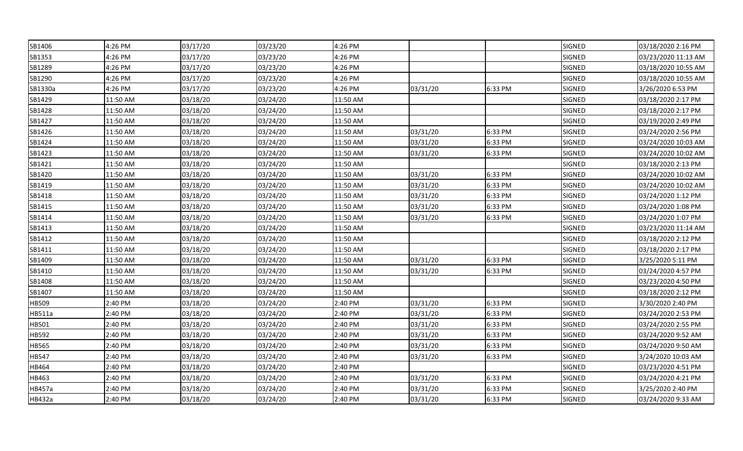| SB1406  | 4:26 PM  | 03/17/20 | 03/23/20 | 4:26 PM  |          |         | <b>SIGNED</b> | 03/18/2020 2:16 PM  |
|---------|----------|----------|----------|----------|----------|---------|---------------|---------------------|
| SB1353  | 4:26 PM  | 03/17/20 | 03/23/20 | 4:26 PM  |          |         | SIGNED        | 03/23/2020 11:13 AM |
| SB1289  | 4:26 PM  | 03/17/20 | 03/23/20 | 4:26 PM  |          |         | SIGNED        | 03/18/2020 10:55 AM |
| SB1290  | 4:26 PM  | 03/17/20 | 03/23/20 | 4:26 PM  |          |         | SIGNED        | 03/18/2020 10:55 AM |
| SB1330a | 4:26 PM  | 03/17/20 | 03/23/20 | 4:26 PM  | 03/31/20 | 6:33 PM | SIGNED        | 3/26/2020 6:53 PM   |
| SB1429  | 11:50 AM | 03/18/20 | 03/24/20 | 11:50 AM |          |         | SIGNED        | 03/18/2020 2:17 PM  |
| SB1428  | 11:50 AM | 03/18/20 | 03/24/20 | 11:50 AM |          |         | SIGNED        | 03/18/2020 2:17 PM  |
| SB1427  | 11:50 AM | 03/18/20 | 03/24/20 | 11:50 AM |          |         | SIGNED        | 03/19/2020 2:49 PM  |
| SB1426  | 11:50 AM | 03/18/20 | 03/24/20 | 11:50 AM | 03/31/20 | 6:33 PM | <b>SIGNED</b> | 03/24/2020 2:56 PM  |
| SB1424  | 11:50 AM | 03/18/20 | 03/24/20 | 11:50 AM | 03/31/20 | 6:33 PM | SIGNED        | 03/24/2020 10:03 AM |
| SB1423  | 11:50 AM | 03/18/20 | 03/24/20 | 11:50 AM | 03/31/20 | 6:33 PM | SIGNED        | 03/24/2020 10:02 AM |
| SB1421  | 11:50 AM | 03/18/20 | 03/24/20 | 11:50 AM |          |         | <b>SIGNED</b> | 03/18/2020 2:13 PM  |
| SB1420  | 11:50 AM | 03/18/20 | 03/24/20 | 11:50 AM | 03/31/20 | 6:33 PM | SIGNED        | 03/24/2020 10:02 AM |
| SB1419  | 11:50 AM | 03/18/20 | 03/24/20 | 11:50 AM | 03/31/20 | 6:33 PM | SIGNED        | 03/24/2020 10:02 AM |
| SB1418  | 11:50 AM | 03/18/20 | 03/24/20 | 11:50 AM | 03/31/20 | 6:33 PM | SIGNED        | 03/24/2020 1:12 PM  |
| SB1415  | 11:50 AM | 03/18/20 | 03/24/20 | 11:50 AM | 03/31/20 | 6:33 PM | SIGNED        | 03/24/2020 1:08 PM  |
| SB1414  | 11:50 AM | 03/18/20 | 03/24/20 | 11:50 AM | 03/31/20 | 6:33 PM | SIGNED        | 03/24/2020 1:07 PM  |
| SB1413  | 11:50 AM | 03/18/20 | 03/24/20 | 11:50 AM |          |         | SIGNED        | 03/23/2020 11:14 AM |
| SB1412  | 11:50 AM | 03/18/20 | 03/24/20 | 11:50 AM |          |         | <b>SIGNED</b> | 03/18/2020 2:12 PM  |
| SB1411  | 11:50 AM | 03/18/20 | 03/24/20 | 11:50 AM |          |         | SIGNED        | 03/18/2020 2:17 PM  |
| SB1409  | 11:50 AM | 03/18/20 | 03/24/20 | 11:50 AM | 03/31/20 | 6:33 PM | SIGNED        | 3/25/2020 5:11 PM   |
| SB1410  | 11:50 AM | 03/18/20 | 03/24/20 | 11:50 AM | 03/31/20 | 6:33 PM | SIGNED        | 03/24/2020 4:57 PM  |
| SB1408  | 11:50 AM | 03/18/20 | 03/24/20 | 11:50 AM |          |         | SIGNED        | 03/23/2020 4:50 PM  |
| SB1407  | 11:50 AM | 03/18/20 | 03/24/20 | 11:50 AM |          |         | SIGNED        | 03/18/2020 2:12 PM  |
| HB509   | 2:40 PM  | 03/18/20 | 03/24/20 | 2:40 PM  | 03/31/20 | 6:33 PM | SIGNED        | 3/30/2020 2:40 PM   |
| HB511a  | 2:40 PM  | 03/18/20 | 03/24/20 | 2:40 PM  | 03/31/20 | 6:33 PM | SIGNED        | 03/24/2020 2:53 PM  |
| HB501   | 2:40 PM  | 03/18/20 | 03/24/20 | 2:40 PM  | 03/31/20 | 6:33 PM | SIGNED        | 03/24/2020 2:55 PM  |
| HB592   | 2:40 PM  | 03/18/20 | 03/24/20 | 2:40 PM  | 03/31/20 | 6:33 PM | SIGNED        | 03/24/2020 9:52 AM  |
| HB565   | 2:40 PM  | 03/18/20 | 03/24/20 | 2:40 PM  | 03/31/20 | 6:33 PM | <b>SIGNED</b> | 03/24/2020 9:50 AM  |
| HB547   | 2:40 PM  | 03/18/20 | 03/24/20 | 2:40 PM  | 03/31/20 | 6:33 PM | SIGNED        | 3/24/2020 10:03 AM  |
| HB464   | 2:40 PM  | 03/18/20 | 03/24/20 | 2:40 PM  |          |         | SIGNED        | 03/23/2020 4:51 PM  |
| HB463   | 2:40 PM  | 03/18/20 | 03/24/20 | 2:40 PM  | 03/31/20 | 6:33 PM | SIGNED        | 03/24/2020 4:21 PM  |
| HB457a  | 2:40 PM  | 03/18/20 | 03/24/20 | 2:40 PM  | 03/31/20 | 6:33 PM | SIGNED        | 3/25/2020 2:40 PM   |
| HB432a  | 2:40 PM  | 03/18/20 | 03/24/20 | 2:40 PM  | 03/31/20 | 6:33 PM | SIGNED        | 03/24/2020 9:33 AM  |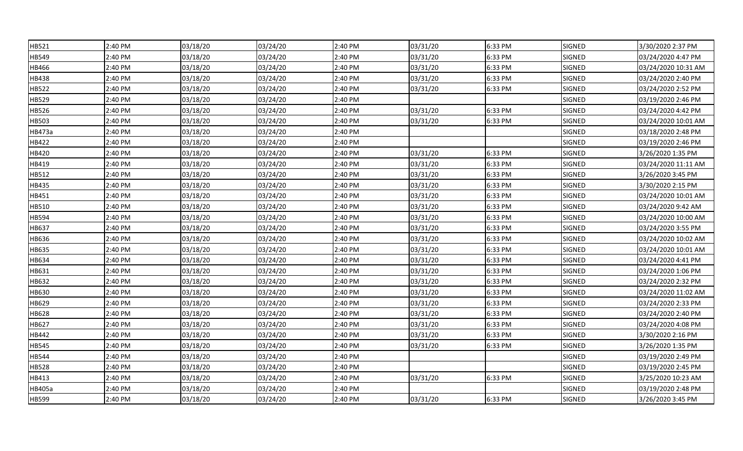| HB521  | 2:40 PM | 03/18/20 | 03/24/20 | 2:40 PM | 03/31/20 | 6:33 PM | <b>SIGNED</b> | 3/30/2020 2:37 PM   |
|--------|---------|----------|----------|---------|----------|---------|---------------|---------------------|
| HB549  | 2:40 PM | 03/18/20 | 03/24/20 | 2:40 PM | 03/31/20 | 6:33 PM | SIGNED        | 03/24/2020 4:47 PM  |
| HB466  | 2:40 PM | 03/18/20 | 03/24/20 | 2:40 PM | 03/31/20 | 6:33 PM | <b>SIGNED</b> | 03/24/2020 10:31 AM |
| HB438  | 2:40 PM | 03/18/20 | 03/24/20 | 2:40 PM | 03/31/20 | 6:33 PM | SIGNED        | 03/24/2020 2:40 PM  |
| HB522  | 2:40 PM | 03/18/20 | 03/24/20 | 2:40 PM | 03/31/20 | 6:33 PM | SIGNED        | 03/24/2020 2:52 PM  |
| HB529  | 2:40 PM | 03/18/20 | 03/24/20 | 2:40 PM |          |         | <b>SIGNED</b> | 03/19/2020 2:46 PM  |
| HB526  | 2:40 PM | 03/18/20 | 03/24/20 | 2:40 PM | 03/31/20 | 6:33 PM | <b>SIGNED</b> | 03/24/2020 4:42 PM  |
| HB503  | 2:40 PM | 03/18/20 | 03/24/20 | 2:40 PM | 03/31/20 | 6:33 PM | SIGNED        | 03/24/2020 10:01 AM |
| HB473a | 2:40 PM | 03/18/20 | 03/24/20 | 2:40 PM |          |         | SIGNED        | 03/18/2020 2:48 PM  |
| HB422  | 2:40 PM | 03/18/20 | 03/24/20 | 2:40 PM |          |         | SIGNED        | 03/19/2020 2:46 PM  |
| HB420  | 2:40 PM | 03/18/20 | 03/24/20 | 2:40 PM | 03/31/20 | 6:33 PM | SIGNED        | 3/26/2020 1:35 PM   |
| HB419  | 2:40 PM | 03/18/20 | 03/24/20 | 2:40 PM | 03/31/20 | 6:33 PM | SIGNED        | 03/24/2020 11:11 AM |
| HB512  | 2:40 PM | 03/18/20 | 03/24/20 | 2:40 PM | 03/31/20 | 6:33 PM | SIGNED        | 3/26/2020 3:45 PM   |
| HB435  | 2:40 PM | 03/18/20 | 03/24/20 | 2:40 PM | 03/31/20 | 6:33 PM | SIGNED        | 3/30/2020 2:15 PM   |
| HB451  | 2:40 PM | 03/18/20 | 03/24/20 | 2:40 PM | 03/31/20 | 6:33 PM | SIGNED        | 03/24/2020 10:01 AM |
| HB510  | 2:40 PM | 03/18/20 | 03/24/20 | 2:40 PM | 03/31/20 | 6:33 PM | SIGNED        | 03/24/2020 9:42 AM  |
| HB594  | 2:40 PM | 03/18/20 | 03/24/20 | 2:40 PM | 03/31/20 | 6:33 PM | SIGNED        | 03/24/2020 10:00 AM |
| HB637  | 2:40 PM | 03/18/20 | 03/24/20 | 2:40 PM | 03/31/20 | 6:33 PM | SIGNED        | 03/24/2020 3:55 PM  |
| HB636  | 2:40 PM | 03/18/20 | 03/24/20 | 2:40 PM | 03/31/20 | 6:33 PM | <b>SIGNED</b> | 03/24/2020 10:02 AM |
| HB635  | 2:40 PM | 03/18/20 | 03/24/20 | 2:40 PM | 03/31/20 | 6:33 PM | SIGNED        | 03/24/2020 10:01 AM |
| HB634  | 2:40 PM | 03/18/20 | 03/24/20 | 2:40 PM | 03/31/20 | 6:33 PM | SIGNED        | 03/24/2020 4:41 PM  |
| HB631  | 2:40 PM | 03/18/20 | 03/24/20 | 2:40 PM | 03/31/20 | 6:33 PM | SIGNED        | 03/24/2020 1:06 PM  |
| HB632  | 2:40 PM | 03/18/20 | 03/24/20 | 2:40 PM | 03/31/20 | 6:33 PM | SIGNED        | 03/24/2020 2:32 PM  |
| HB630  | 2:40 PM | 03/18/20 | 03/24/20 | 2:40 PM | 03/31/20 | 6:33 PM | SIGNED        | 03/24/2020 11:02 AM |
| HB629  | 2:40 PM | 03/18/20 | 03/24/20 | 2:40 PM | 03/31/20 | 6:33 PM | SIGNED        | 03/24/2020 2:33 PM  |
| HB628  | 2:40 PM | 03/18/20 | 03/24/20 | 2:40 PM | 03/31/20 | 6:33 PM | SIGNED        | 03/24/2020 2:40 PM  |
| HB627  | 2:40 PM | 03/18/20 | 03/24/20 | 2:40 PM | 03/31/20 | 6:33 PM | SIGNED        | 03/24/2020 4:08 PM  |
| HB442  | 2:40 PM | 03/18/20 | 03/24/20 | 2:40 PM | 03/31/20 | 6:33 PM | SIGNED        | 3/30/2020 2:16 PM   |
| HB545  | 2:40 PM | 03/18/20 | 03/24/20 | 2:40 PM | 03/31/20 | 6:33 PM | <b>SIGNED</b> | 3/26/2020 1:35 PM   |
| HB544  | 2:40 PM | 03/18/20 | 03/24/20 | 2:40 PM |          |         | SIGNED        | 03/19/2020 2:49 PM  |
| HB528  | 2:40 PM | 03/18/20 | 03/24/20 | 2:40 PM |          |         | SIGNED        | 03/19/2020 2:45 PM  |
| HB413  | 2:40 PM | 03/18/20 | 03/24/20 | 2:40 PM | 03/31/20 | 6:33 PM | SIGNED        | 3/25/2020 10:23 AM  |
| HB405a | 2:40 PM | 03/18/20 | 03/24/20 | 2:40 PM |          |         | SIGNED        | 03/19/2020 2:48 PM  |
| HB599  | 2:40 PM | 03/18/20 | 03/24/20 | 2:40 PM | 03/31/20 | 6:33 PM | SIGNED        | 3/26/2020 3:45 PM   |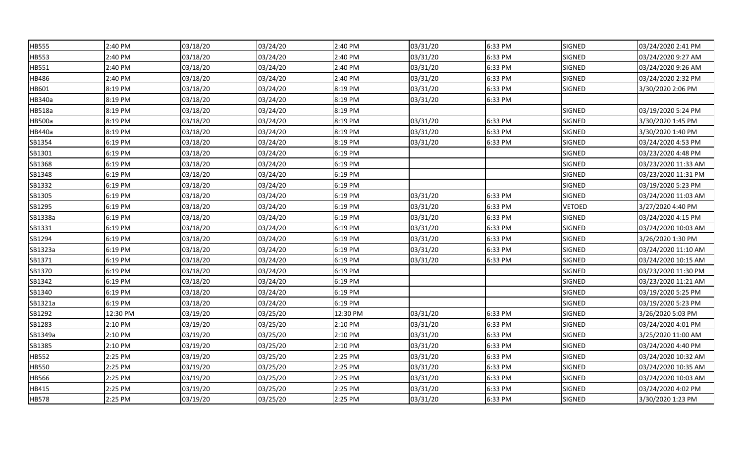| HB555   | 2:40 PM  | 03/18/20 | 03/24/20 | 2:40 PM  | 03/31/20 | 6:33 PM | <b>SIGNED</b> | 03/24/2020 2:41 PM  |
|---------|----------|----------|----------|----------|----------|---------|---------------|---------------------|
| HB553   | 2:40 PM  | 03/18/20 | 03/24/20 | 2:40 PM  | 03/31/20 | 6:33 PM | SIGNED        | 03/24/2020 9:27 AM  |
| HB551   | 2:40 PM  | 03/18/20 | 03/24/20 | 2:40 PM  | 03/31/20 | 6:33 PM | <b>SIGNED</b> | 03/24/2020 9:26 AM  |
| HB486   | 2:40 PM  | 03/18/20 | 03/24/20 | 2:40 PM  | 03/31/20 | 6:33 PM | SIGNED        | 03/24/2020 2:32 PM  |
| HB601   | 8:19 PM  | 03/18/20 | 03/24/20 | 8:19 PM  | 03/31/20 | 6:33 PM | SIGNED        | 3/30/2020 2:06 PM   |
| HB340a  | 8:19 PM  | 03/18/20 | 03/24/20 | 8:19 PM  | 03/31/20 | 6:33 PM |               |                     |
| HB518a  | 8:19 PM  | 03/18/20 | 03/24/20 | 8:19 PM  |          |         | SIGNED        | 03/19/2020 5:24 PM  |
| HB500a  | 8:19 PM  | 03/18/20 | 03/24/20 | 8:19 PM  | 03/31/20 | 6:33 PM | SIGNED        | 3/30/2020 1:45 PM   |
| HB440a  | 8:19 PM  | 03/18/20 | 03/24/20 | 8:19 PM  | 03/31/20 | 6:33 PM | SIGNED        | 3/30/2020 1:40 PM   |
| SB1354  | 6:19 PM  | 03/18/20 | 03/24/20 | 8:19 PM  | 03/31/20 | 6:33 PM | SIGNED        | 03/24/2020 4:53 PM  |
| SB1301  | 6:19 PM  | 03/18/20 | 03/24/20 | 6:19 PM  |          |         | SIGNED        | 03/23/2020 4:48 PM  |
| SB1368  | 6:19 PM  | 03/18/20 | 03/24/20 | 6:19 PM  |          |         | <b>SIGNED</b> | 03/23/2020 11:33 AM |
| SB1348  | 6:19 PM  | 03/18/20 | 03/24/20 | 6:19 PM  |          |         | SIGNED        | 03/23/2020 11:31 PM |
| SB1332  | 6:19 PM  | 03/18/20 | 03/24/20 | 6:19 PM  |          |         | SIGNED        | 03/19/2020 5:23 PM  |
| SB1305  | 6:19 PM  | 03/18/20 | 03/24/20 | 6:19 PM  | 03/31/20 | 6:33 PM | SIGNED        | 03/24/2020 11:03 AM |
| SB1295  | 6:19 PM  | 03/18/20 | 03/24/20 | 6:19 PM  | 03/31/20 | 6:33 PM | <b>VETOED</b> | 3/27/2020 4:40 PM   |
| SB1338a | 6:19 PM  | 03/18/20 | 03/24/20 | 6:19 PM  | 03/31/20 | 6:33 PM | SIGNED        | 03/24/2020 4:15 PM  |
| SB1331  | 6:19 PM  | 03/18/20 | 03/24/20 | 6:19 PM  | 03/31/20 | 6:33 PM | SIGNED        | 03/24/2020 10:03 AM |
| SB1294  | 6:19 PM  | 03/18/20 | 03/24/20 | 6:19 PM  | 03/31/20 | 6:33 PM | <b>SIGNED</b> | 3/26/2020 1:30 PM   |
| SB1323a | 6:19 PM  | 03/18/20 | 03/24/20 | 6:19 PM  | 03/31/20 | 6:33 PM | SIGNED        | 03/24/2020 11:10 AM |
| SB1371  | 6:19 PM  | 03/18/20 | 03/24/20 | 6:19 PM  | 03/31/20 | 6:33 PM | SIGNED        | 03/24/2020 10:15 AM |
| SB1370  | 6:19 PM  | 03/18/20 | 03/24/20 | 6:19 PM  |          |         | <b>SIGNED</b> | 03/23/2020 11:30 PM |
| SB1342  | 6:19 PM  | 03/18/20 | 03/24/20 | 6:19 PM  |          |         | SIGNED        | 03/23/2020 11:21 AM |
| SB1340  | 6:19 PM  | 03/18/20 | 03/24/20 | 6:19 PM  |          |         | SIGNED        | 03/19/2020 5:25 PM  |
| SB1321a | 6:19 PM  | 03/18/20 | 03/24/20 | 6:19 PM  |          |         | SIGNED        | 03/19/2020 5:23 PM  |
| SB1292  | 12:30 PM | 03/19/20 | 03/25/20 | 12:30 PM | 03/31/20 | 6:33 PM | SIGNED        | 3/26/2020 5:03 PM   |
| SB1283  | 2:10 PM  | 03/19/20 | 03/25/20 | 2:10 PM  | 03/31/20 | 6:33 PM | SIGNED        | 03/24/2020 4:01 PM  |
| SB1349a | 2:10 PM  | 03/19/20 | 03/25/20 | 2:10 PM  | 03/31/20 | 6:33 PM | SIGNED        | 3/25/2020 11:00 AM  |
| SB1385  | 2:10 PM  | 03/19/20 | 03/25/20 | 2:10 PM  | 03/31/20 | 6:33 PM | <b>SIGNED</b> | 03/24/2020 4:40 PM  |
| HB552   | 2:25 PM  | 03/19/20 | 03/25/20 | 2:25 PM  | 03/31/20 | 6:33 PM | SIGNED        | 03/24/2020 10:32 AM |
| HB550   | 2:25 PM  | 03/19/20 | 03/25/20 | 2:25 PM  | 03/31/20 | 6:33 PM | SIGNED        | 03/24/2020 10:35 AM |
| HB566   | 2:25 PM  | 03/19/20 | 03/25/20 | 2:25 PM  | 03/31/20 | 6:33 PM | SIGNED        | 03/24/2020 10:03 AM |
| HB415   | 2:25 PM  | 03/19/20 | 03/25/20 | 2:25 PM  | 03/31/20 | 6:33 PM | SIGNED        | 03/24/2020 4:02 PM  |
| HB578   | 2:25 PM  | 03/19/20 | 03/25/20 | 2:25 PM  | 03/31/20 | 6:33 PM | SIGNED        | 3/30/2020 1:23 PM   |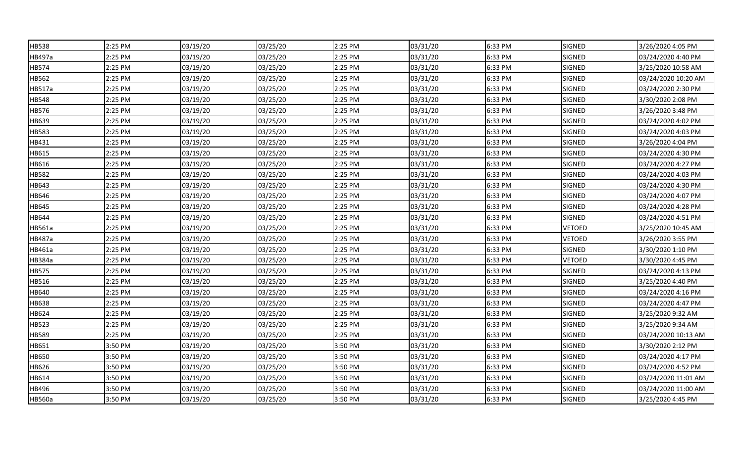| HB538  | 2:25 PM | 03/19/20 | 03/25/20 | 2:25 PM | 03/31/20 | 6:33 PM | <b>SIGNED</b> | 3/26/2020 4:05 PM   |
|--------|---------|----------|----------|---------|----------|---------|---------------|---------------------|
| HB497a | 2:25 PM | 03/19/20 | 03/25/20 | 2:25 PM | 03/31/20 | 6:33 PM | SIGNED        | 03/24/2020 4:40 PM  |
| HB574  | 2:25 PM | 03/19/20 | 03/25/20 | 2:25 PM | 03/31/20 | 6:33 PM | SIGNED        | 3/25/2020 10:58 AM  |
| HB562  | 2:25 PM | 03/19/20 | 03/25/20 | 2:25 PM | 03/31/20 | 6:33 PM | SIGNED        | 03/24/2020 10:20 AM |
| HB517a | 2:25 PM | 03/19/20 | 03/25/20 | 2:25 PM | 03/31/20 | 6:33 PM | SIGNED        | 03/24/2020 2:30 PM  |
| HB548  | 2:25 PM | 03/19/20 | 03/25/20 | 2:25 PM | 03/31/20 | 6:33 PM | SIGNED        | 3/30/2020 2:08 PM   |
| HB576  | 2:25 PM | 03/19/20 | 03/25/20 | 2:25 PM | 03/31/20 | 6:33 PM | SIGNED        | 3/26/2020 3:48 PM   |
| HB639  | 2:25 PM | 03/19/20 | 03/25/20 | 2:25 PM | 03/31/20 | 6:33 PM | SIGNED        | 03/24/2020 4:02 PM  |
| HB583  | 2:25 PM | 03/19/20 | 03/25/20 | 2:25 PM | 03/31/20 | 6:33 PM | SIGNED        | 03/24/2020 4:03 PM  |
| HB431  | 2:25 PM | 03/19/20 | 03/25/20 | 2:25 PM | 03/31/20 | 6:33 PM | SIGNED        | 3/26/2020 4:04 PM   |
| HB615  | 2:25 PM | 03/19/20 | 03/25/20 | 2:25 PM | 03/31/20 | 6:33 PM | SIGNED        | 03/24/2020 4:30 PM  |
| HB616  | 2:25 PM | 03/19/20 | 03/25/20 | 2:25 PM | 03/31/20 | 6:33 PM | SIGNED        | 03/24/2020 4:27 PM  |
| HB582  | 2:25 PM | 03/19/20 | 03/25/20 | 2:25 PM | 03/31/20 | 6:33 PM | SIGNED        | 03/24/2020 4:03 PM  |
| HB643  | 2:25 PM | 03/19/20 | 03/25/20 | 2:25 PM | 03/31/20 | 6:33 PM | SIGNED        | 03/24/2020 4:30 PM  |
| HB646  | 2:25 PM | 03/19/20 | 03/25/20 | 2:25 PM | 03/31/20 | 6:33 PM | SIGNED        | 03/24/2020 4:07 PM  |
| HB645  | 2:25 PM | 03/19/20 | 03/25/20 | 2:25 PM | 03/31/20 | 6:33 PM | SIGNED        | 03/24/2020 4:28 PM  |
| HB644  | 2:25 PM | 03/19/20 | 03/25/20 | 2:25 PM | 03/31/20 | 6:33 PM | SIGNED        | 03/24/2020 4:51 PM  |
| HB561a | 2:25 PM | 03/19/20 | 03/25/20 | 2:25 PM | 03/31/20 | 6:33 PM | <b>VETOED</b> | 3/25/2020 10:45 AM  |
| HB487a | 2:25 PM | 03/19/20 | 03/25/20 | 2:25 PM | 03/31/20 | 6:33 PM | <b>VETOED</b> | 3/26/2020 3:55 PM   |
| HB461a | 2:25 PM | 03/19/20 | 03/25/20 | 2:25 PM | 03/31/20 | 6:33 PM | SIGNED        | 3/30/2020 1:10 PM   |
| HB384a | 2:25 PM | 03/19/20 | 03/25/20 | 2:25 PM | 03/31/20 | 6:33 PM | <b>VETOED</b> | 3/30/2020 4:45 PM   |
| HB575  | 2:25 PM | 03/19/20 | 03/25/20 | 2:25 PM | 03/31/20 | 6:33 PM | SIGNED        | 03/24/2020 4:13 PM  |
| HB516  | 2:25 PM | 03/19/20 | 03/25/20 | 2:25 PM | 03/31/20 | 6:33 PM | SIGNED        | 3/25/2020 4:40 PM   |
| HB640  | 2:25 PM | 03/19/20 | 03/25/20 | 2:25 PM | 03/31/20 | 6:33 PM | SIGNED        | 03/24/2020 4:16 PM  |
| HB638  | 2:25 PM | 03/19/20 | 03/25/20 | 2:25 PM | 03/31/20 | 6:33 PM | SIGNED        | 03/24/2020 4:47 PM  |
| HB624  | 2:25 PM | 03/19/20 | 03/25/20 | 2:25 PM | 03/31/20 | 6:33 PM | SIGNED        | 3/25/2020 9:32 AM   |
| HB523  | 2:25 PM | 03/19/20 | 03/25/20 | 2:25 PM | 03/31/20 | 6:33 PM | SIGNED        | 3/25/2020 9:34 AM   |
| HB589  | 2:25 PM | 03/19/20 | 03/25/20 | 2:25 PM | 03/31/20 | 6:33 PM | SIGNED        | 03/24/2020 10:13 AM |
| HB651  | 3:50 PM | 03/19/20 | 03/25/20 | 3:50 PM | 03/31/20 | 6:33 PM | <b>SIGNED</b> | 3/30/2020 2:12 PM   |
| HB650  | 3:50 PM | 03/19/20 | 03/25/20 | 3:50 PM | 03/31/20 | 6:33 PM | SIGNED        | 03/24/2020 4:17 PM  |
| HB626  | 3:50 PM | 03/19/20 | 03/25/20 | 3:50 PM | 03/31/20 | 6:33 PM | SIGNED        | 03/24/2020 4:52 PM  |
| HB614  | 3:50 PM | 03/19/20 | 03/25/20 | 3:50 PM | 03/31/20 | 6:33 PM | SIGNED        | 03/24/2020 11:01 AM |
| HB496  | 3:50 PM | 03/19/20 | 03/25/20 | 3:50 PM | 03/31/20 | 6:33 PM | SIGNED        | 03/24/2020 11:00 AM |
| HB560a | 3:50 PM | 03/19/20 | 03/25/20 | 3:50 PM | 03/31/20 | 6:33 PM | SIGNED        | 3/25/2020 4:45 PM   |